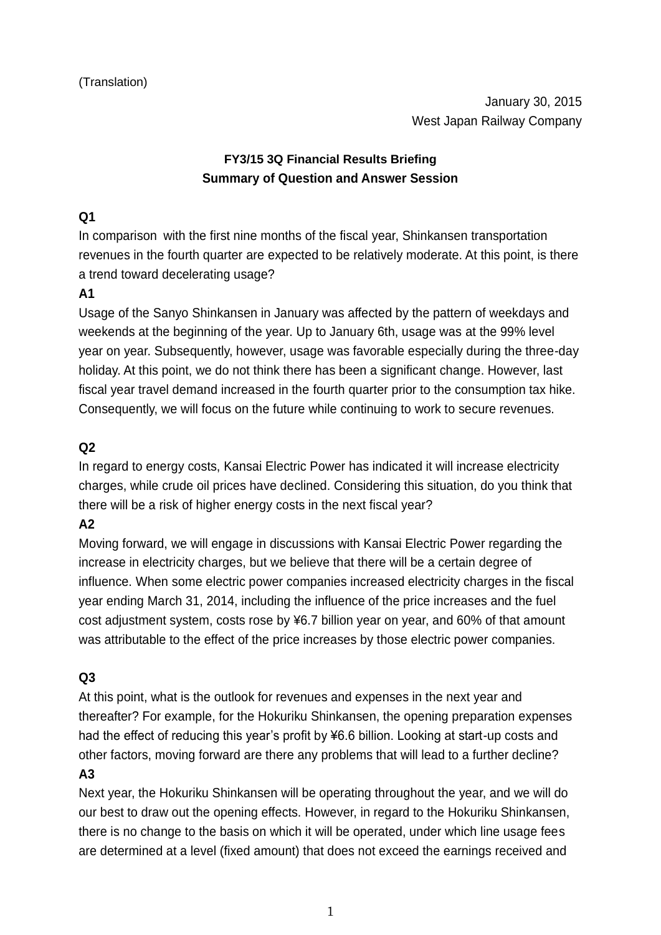# **FY3/15 3Q Financial Results Briefing Summary of Question and Answer Session**

## **Q1**

In comparison with the first nine months of the fiscal year, Shinkansen transportation revenues in the fourth quarter are expected to be relatively moderate. At this point, is there a trend toward decelerating usage?

# **A1**

Usage of the Sanyo Shinkansen in January was affected by the pattern of weekdays and weekends at the beginning of the year. Up to January 6th, usage was at the 99% level year on year. Subsequently, however, usage was favorable especially during the three-day holiday. At this point, we do not think there has been a significant change. However, last fiscal year travel demand increased in the fourth quarter prior to the consumption tax hike. Consequently, we will focus on the future while continuing to work to secure revenues.

# **Q2**

In regard to energy costs, Kansai Electric Power has indicated it will increase electricity charges, while crude oil prices have declined. Considering this situation, do you think that there will be a risk of higher energy costs in the next fiscal year?

# **A2**

Moving forward, we will engage in discussions with Kansai Electric Power regarding the increase in electricity charges, but we believe that there will be a certain degree of influence. When some electric power companies increased electricity charges in the fiscal year ending March 31, 2014, including the influence of the price increases and the fuel cost adjustment system, costs rose by ¥6.7 billion year on year, and 60% of that amount was attributable to the effect of the price increases by those electric power companies.

# **Q3**

At this point, what is the outlook for revenues and expenses in the next year and thereafter? For example, for the Hokuriku Shinkansen, the opening preparation expenses had the effect of reducing this year's profit by ¥6.6 billion. Looking at start-up costs and other factors, moving forward are there any problems that will lead to a further decline?

#### **A3**

Next year, the Hokuriku Shinkansen will be operating throughout the year, and we will do our best to draw out the opening effects. However, in regard to the Hokuriku Shinkansen, there is no change to the basis on which it will be operated, under which line usage fees are determined at a level (fixed amount) that does not exceed the earnings received and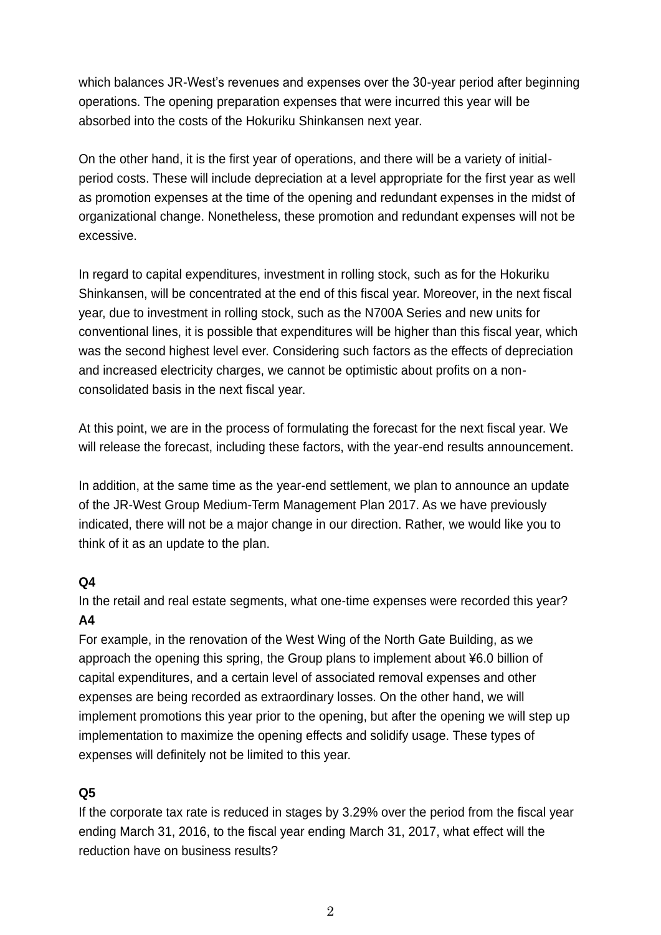which balances JR-West's revenues and expenses over the 30-year period after beginning operations. The opening preparation expenses that were incurred this year will be absorbed into the costs of the Hokuriku Shinkansen next year.

On the other hand, it is the first year of operations, and there will be a variety of initialperiod costs. These will include depreciation at a level appropriate for the first year as well as promotion expenses at the time of the opening and redundant expenses in the midst of organizational change. Nonetheless, these promotion and redundant expenses will not be excessive.

In regard to capital expenditures, investment in rolling stock, such as for the Hokuriku Shinkansen, will be concentrated at the end of this fiscal year. Moreover, in the next fiscal year, due to investment in rolling stock, such as the N700A Series and new units for conventional lines, it is possible that expenditures will be higher than this fiscal year, which was the second highest level ever. Considering such factors as the effects of depreciation and increased electricity charges, we cannot be optimistic about profits on a nonconsolidated basis in the next fiscal year.

At this point, we are in the process of formulating the forecast for the next fiscal year. We will release the forecast, including these factors, with the year-end results announcement.

In addition, at the same time as the year-end settlement, we plan to announce an update of the JR-West Group Medium-Term Management Plan 2017. As we have previously indicated, there will not be a major change in our direction. Rather, we would like you to think of it as an update to the plan.

#### **Q4**

In the retail and real estate segments, what one-time expenses were recorded this year? **A4**

For example, in the renovation of the West Wing of the North Gate Building, as we approach the opening this spring, the Group plans to implement about ¥6.0 billion of capital expenditures, and a certain level of associated removal expenses and other expenses are being recorded as extraordinary losses. On the other hand, we will implement promotions this year prior to the opening, but after the opening we will step up implementation to maximize the opening effects and solidify usage. These types of expenses will definitely not be limited to this year.

#### **Q5**

If the corporate tax rate is reduced in stages by 3.29% over the period from the fiscal year ending March 31, 2016, to the fiscal year ending March 31, 2017, what effect will the reduction have on business results?